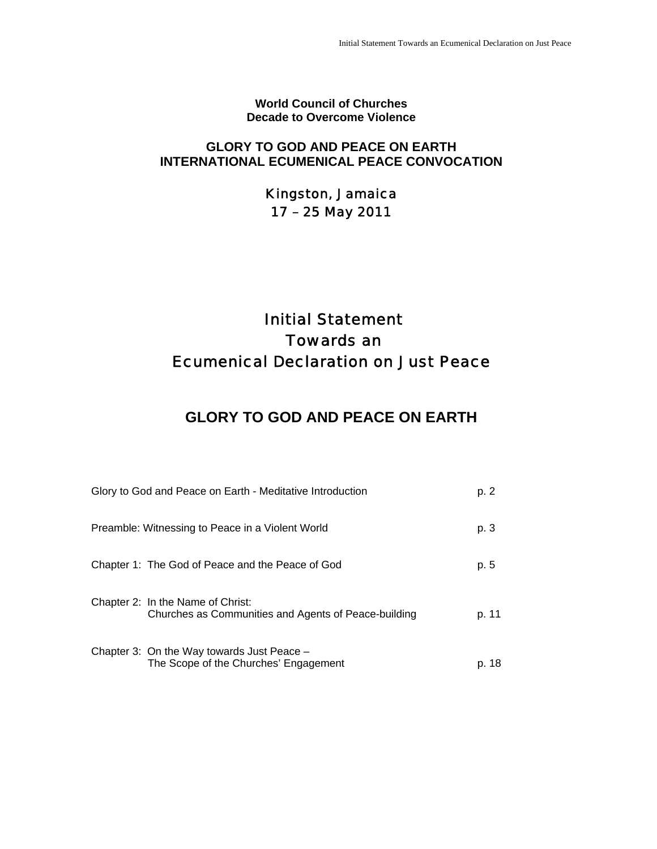**World Council of Churches Decade to Overcome Violence**

### **GLORY TO GOD AND PEACE ON EARTH INTERNATIONAL ECUMENICAL PEACE CONVOCATION**

Kingston, Jamaica 17 – 25 May 2011

# Initial Statement Towards an Ecumenical Declaration on Just Peace

## **GLORY TO GOD AND PEACE ON EARTH**

| Glory to God and Peace on Earth - Meditative Introduction                                 | p. 2  |
|-------------------------------------------------------------------------------------------|-------|
| Preamble: Witnessing to Peace in a Violent World                                          | p. 3  |
| Chapter 1: The God of Peace and the Peace of God                                          | p. 5  |
| Chapter 2: In the Name of Christ:<br>Churches as Communities and Agents of Peace-building | p. 11 |
| Chapter 3: On the Way towards Just Peace -<br>The Scope of the Churches' Engagement       | p. 18 |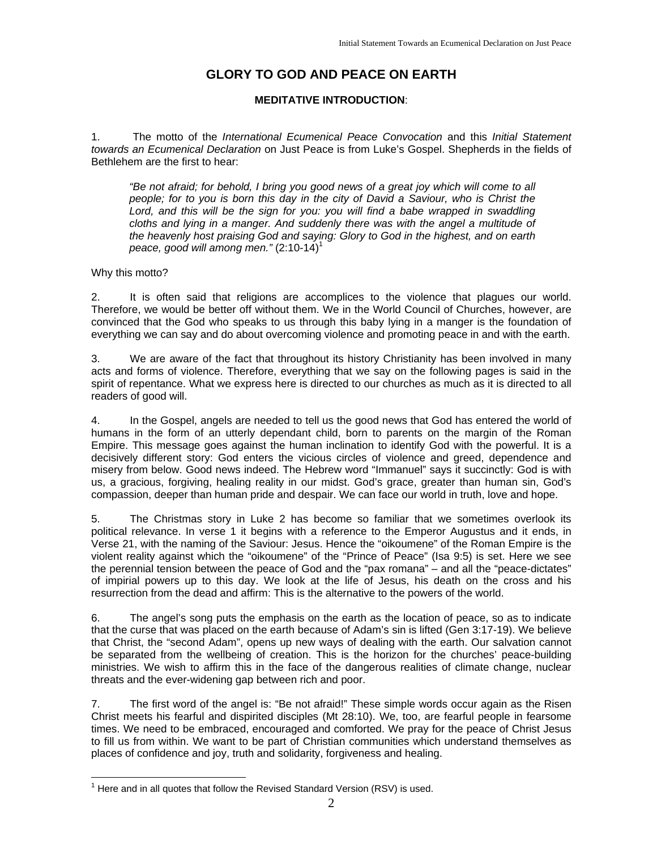## **GLORY TO GOD AND PEACE ON EARTH**

#### **MEDITATIVE INTRODUCTION**:

1. The motto of the *International Ecumenical Peace Convocation* and this *Initial Statement towards an Ecumenical Declaration* on Just Peace is from Luke's Gospel. Shepherds in the fields of Bethlehem are the first to hear:

*"Be not afraid; for behold, I bring you good news of a great joy which will come to all people; for to you is born this day in the city of David a Saviour, who is Christ the*  Lord, and this will be the sign for you: you will find a babe wrapped in swaddling *cloths and lying in a manger. And suddenly there was with the angel a multitude of the heavenly host praising God and saying: Glory to God in the highest, and on earth peace, good will among men."* (2:10-14)1

#### Why this motto?

2. It is often said that religions are accomplices to the violence that plagues our world. Therefore, we would be better off without them. We in the World Council of Churches, however, are convinced that the God who speaks to us through this baby lying in a manger is the foundation of everything we can say and do about overcoming violence and promoting peace in and with the earth.

3. We are aware of the fact that throughout its history Christianity has been involved in many acts and forms of violence. Therefore, everything that we say on the following pages is said in the spirit of repentance. What we express here is directed to our churches as much as it is directed to all readers of good will.

4. In the Gospel, angels are needed to tell us the good news that God has entered the world of humans in the form of an utterly dependant child, born to parents on the margin of the Roman Empire. This message goes against the human inclination to identify God with the powerful. It is a decisively different story: God enters the vicious circles of violence and greed, dependence and misery from below. Good news indeed. The Hebrew word "Immanuel" says it succinctly: God is with us, a gracious, forgiving, healing reality in our midst. God's grace, greater than human sin, God's compassion, deeper than human pride and despair. We can face our world in truth, love and hope.

5. The Christmas story in Luke 2 has become so familiar that we sometimes overlook its political relevance. In verse 1 it begins with a reference to the Emperor Augustus and it ends, in Verse 21, with the naming of the Saviour: Jesus. Hence the "oikoumene" of the Roman Empire is the violent reality against which the "oikoumene" of the "Prince of Peace" (Isa 9:5) is set. Here we see the perennial tension between the peace of God and the "pax romana" – and all the "peace-dictates" of impirial powers up to this day. We look at the life of Jesus, his death on the cross and his resurrection from the dead and affirm: This is the alternative to the powers of the world.

6. The angel's song puts the emphasis on the earth as the location of peace, so as to indicate that the curse that was placed on the earth because of Adam's sin is lifted (Gen 3:17-19). We believe that Christ, the "second Adam", opens up new ways of dealing with the earth. Our salvation cannot be separated from the wellbeing of creation. This is the horizon for the churches' peace-building ministries. We wish to affirm this in the face of the dangerous realities of climate change, nuclear threats and the ever-widening gap between rich and poor.

7. The first word of the angel is: "Be not afraid!" These simple words occur again as the Risen Christ meets his fearful and dispirited disciples (Mt 28:10). We, too, are fearful people in fearsome times. We need to be embraced, encouraged and comforted. We pray for the peace of Christ Jesus to fill us from within. We want to be part of Christian communities which understand themselves as places of confidence and joy, truth and solidarity, forgiveness and healing.

 1 Here and in all quotes that follow the Revised Standard Version (RSV) is used.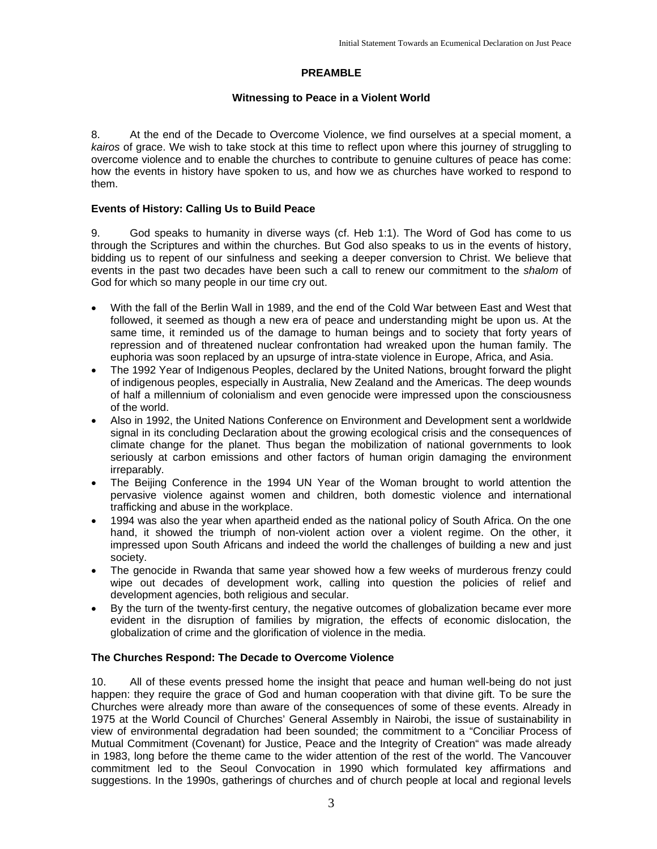#### **PREAMBLE**

#### **Witnessing to Peace in a Violent World**

8. At the end of the Decade to Overcome Violence, we find ourselves at a special moment, a *kairos* of grace. We wish to take stock at this time to reflect upon where this journey of struggling to overcome violence and to enable the churches to contribute to genuine cultures of peace has come: how the events in history have spoken to us, and how we as churches have worked to respond to them.

#### **Events of History: Calling Us to Build Peace**

9. God speaks to humanity in diverse ways (cf. Heb 1:1). The Word of God has come to us through the Scriptures and within the churches. But God also speaks to us in the events of history, bidding us to repent of our sinfulness and seeking a deeper conversion to Christ. We believe that events in the past two decades have been such a call to renew our commitment to the *shalom* of God for which so many people in our time cry out.

- With the fall of the Berlin Wall in 1989, and the end of the Cold War between East and West that followed, it seemed as though a new era of peace and understanding might be upon us. At the same time, it reminded us of the damage to human beings and to society that forty years of repression and of threatened nuclear confrontation had wreaked upon the human family. The euphoria was soon replaced by an upsurge of intra-state violence in Europe, Africa, and Asia.
- The 1992 Year of Indigenous Peoples, declared by the United Nations, brought forward the plight of indigenous peoples, especially in Australia, New Zealand and the Americas. The deep wounds of half a millennium of colonialism and even genocide were impressed upon the consciousness of the world.
- Also in 1992, the United Nations Conference on Environment and Development sent a worldwide signal in its concluding Declaration about the growing ecological crisis and the consequences of climate change for the planet. Thus began the mobilization of national governments to look seriously at carbon emissions and other factors of human origin damaging the environment irreparably.
- The Beijing Conference in the 1994 UN Year of the Woman brought to world attention the pervasive violence against women and children, both domestic violence and international trafficking and abuse in the workplace.
- 1994 was also the year when apartheid ended as the national policy of South Africa. On the one hand, it showed the triumph of non-violent action over a violent regime. On the other, it impressed upon South Africans and indeed the world the challenges of building a new and just society.
- The genocide in Rwanda that same year showed how a few weeks of murderous frenzy could wipe out decades of development work, calling into question the policies of relief and development agencies, both religious and secular.
- By the turn of the twenty-first century, the negative outcomes of globalization became ever more evident in the disruption of families by migration, the effects of economic dislocation, the globalization of crime and the glorification of violence in the media.

#### **The Churches Respond: The Decade to Overcome Violence**

10. All of these events pressed home the insight that peace and human well-being do not just happen: they require the grace of God and human cooperation with that divine gift. To be sure the Churches were already more than aware of the consequences of some of these events. Already in 1975 at the World Council of Churches' General Assembly in Nairobi, the issue of sustainability in view of environmental degradation had been sounded; the commitment to a "Conciliar Process of Mutual Commitment (Covenant) for Justice, Peace and the Integrity of Creation" was made already in 1983, long before the theme came to the wider attention of the rest of the world. The Vancouver commitment led to the Seoul Convocation in 1990 which formulated key affirmations and suggestions. In the 1990s, gatherings of churches and of church people at local and regional levels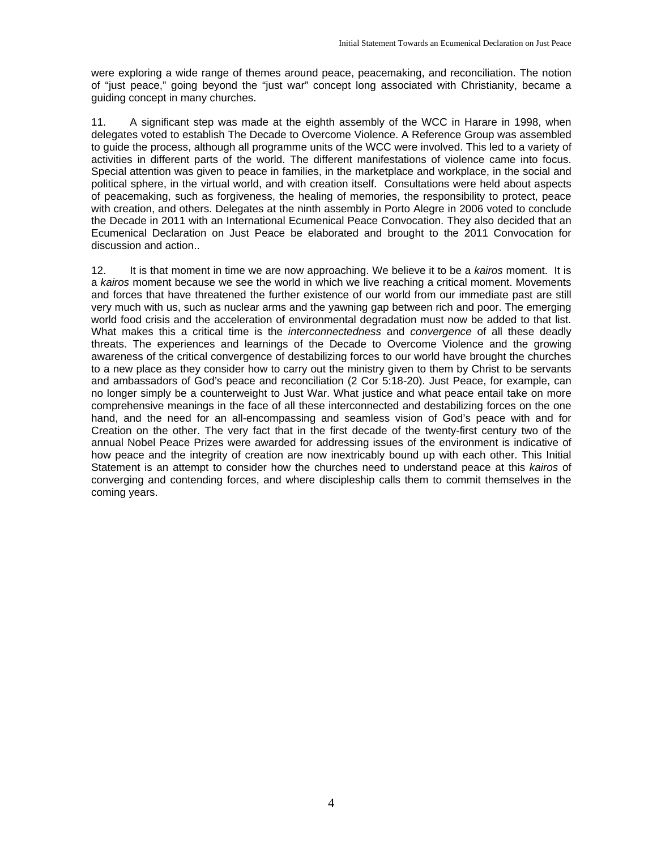were exploring a wide range of themes around peace, peacemaking, and reconciliation. The notion of "just peace," going beyond the "just war" concept long associated with Christianity, became a guiding concept in many churches.

11. A significant step was made at the eighth assembly of the WCC in Harare in 1998, when delegates voted to establish The Decade to Overcome Violence. A Reference Group was assembled to guide the process, although all programme units of the WCC were involved. This led to a variety of activities in different parts of the world. The different manifestations of violence came into focus. Special attention was given to peace in families, in the marketplace and workplace, in the social and political sphere, in the virtual world, and with creation itself. Consultations were held about aspects of peacemaking, such as forgiveness, the healing of memories, the responsibility to protect, peace with creation, and others. Delegates at the ninth assembly in Porto Alegre in 2006 voted to conclude the Decade in 2011 with an International Ecumenical Peace Convocation. They also decided that an Ecumenical Declaration on Just Peace be elaborated and brought to the 2011 Convocation for discussion and action..

12. It is that moment in time we are now approaching. We believe it to be a *kairos* moment. It is a *kairos* moment because we see the world in which we live reaching a critical moment. Movements and forces that have threatened the further existence of our world from our immediate past are still very much with us, such as nuclear arms and the yawning gap between rich and poor. The emerging world food crisis and the acceleration of environmental degradation must now be added to that list. What makes this a critical time is the *interconnectedness* and *convergence* of all these deadly threats. The experiences and learnings of the Decade to Overcome Violence and the growing awareness of the critical convergence of destabilizing forces to our world have brought the churches to a new place as they consider how to carry out the ministry given to them by Christ to be servants and ambassadors of God's peace and reconciliation (2 Cor 5:18-20). Just Peace, for example, can no longer simply be a counterweight to Just War. What justice and what peace entail take on more comprehensive meanings in the face of all these interconnected and destabilizing forces on the one hand, and the need for an all-encompassing and seamless vision of God's peace with and for Creation on the other. The very fact that in the first decade of the twenty-first century two of the annual Nobel Peace Prizes were awarded for addressing issues of the environment is indicative of how peace and the integrity of creation are now inextricably bound up with each other. This Initial Statement is an attempt to consider how the churches need to understand peace at this *kairos* of converging and contending forces, and where discipleship calls them to commit themselves in the coming years.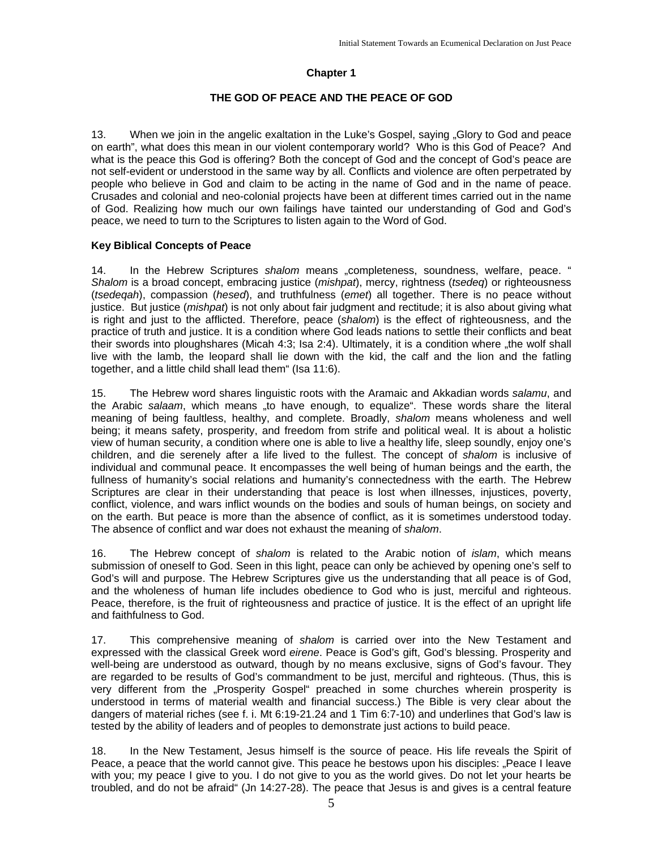#### **Chapter 1**

#### **THE GOD OF PEACE AND THE PEACE OF GOD**

13. When we join in the angelic exaltation in the Luke's Gospel, saying "Glory to God and peace on earth", what does this mean in our violent contemporary world? Who is this God of Peace? And what is the peace this God is offering? Both the concept of God and the concept of God's peace are not self-evident or understood in the same way by all. Conflicts and violence are often perpetrated by people who believe in God and claim to be acting in the name of God and in the name of peace. Crusades and colonial and neo-colonial projects have been at different times carried out in the name of God. Realizing how much our own failings have tainted our understanding of God and God's peace, we need to turn to the Scriptures to listen again to the Word of God.

#### **Key Biblical Concepts of Peace**

14. In the Hebrew Scriptures *shalom* means "completeness, soundness, welfare, peace. " *Shalom* is a broad concept, embracing justice (*mishpat*), mercy, rightness (*tsedeq*) or righteousness (*tsedeqah*), compassion (*hesed*), and truthfulness (*emet*) all together. There is no peace without justice. But justice (*mishpat*) is not only about fair judgment and rectitude; it is also about giving what is right and just to the afflicted. Therefore, peace (*shalom*) is the effect of righteousness, and the practice of truth and justice. It is a condition where God leads nations to settle their conflicts and beat their swords into ploughshares (Micah 4:3; Isa 2:4). Ultimately, it is a condition where "the wolf shall live with the lamb, the leopard shall lie down with the kid, the calf and the lion and the fatling together, and a little child shall lead them" (Isa 11:6).

15. The Hebrew word shares linguistic roots with the Aramaic and Akkadian words *salamu*, and the Arabic salaam, which means "to have enough, to equalize". These words share the literal meaning of being faultless, healthy, and complete. Broadly, *shalom* means wholeness and well being; it means safety, prosperity, and freedom from strife and political weal. It is about a holistic view of human security, a condition where one is able to live a healthy life, sleep soundly, enjoy one's children, and die serenely after a life lived to the fullest. The concept of *shalom* is inclusive of individual and communal peace. It encompasses the well being of human beings and the earth, the fullness of humanity's social relations and humanity's connectedness with the earth. The Hebrew Scriptures are clear in their understanding that peace is lost when illnesses, injustices, poverty, conflict, violence, and wars inflict wounds on the bodies and souls of human beings, on society and on the earth. But peace is more than the absence of conflict, as it is sometimes understood today. The absence of conflict and war does not exhaust the meaning of *shalom*.

16. The Hebrew concept of *shalom* is related to the Arabic notion of *islam*, which means submission of oneself to God. Seen in this light, peace can only be achieved by opening one's self to God's will and purpose. The Hebrew Scriptures give us the understanding that all peace is of God, and the wholeness of human life includes obedience to God who is just, merciful and righteous. Peace, therefore, is the fruit of righteousness and practice of justice. It is the effect of an upright life and faithfulness to God.

17. This comprehensive meaning of *shalom* is carried over into the New Testament and expressed with the classical Greek word *eirene*. Peace is God's gift, God's blessing. Prosperity and well-being are understood as outward, though by no means exclusive, signs of God's favour. They are regarded to be results of God's commandment to be just, merciful and righteous. (Thus, this is very different from the "Prosperity Gospel" preached in some churches wherein prosperity is understood in terms of material wealth and financial success.) The Bible is very clear about the dangers of material riches (see f. i. Mt 6:19-21.24 and 1 Tim 6:7-10) and underlines that God's law is tested by the ability of leaders and of peoples to demonstrate just actions to build peace.

18. In the New Testament, Jesus himself is the source of peace. His life reveals the Spirit of Peace, a peace that the world cannot give. This peace he bestows upon his disciples: "Peace I leave with you; my peace I give to you. I do not give to you as the world gives. Do not let your hearts be troubled, and do not be afraid" (Jn 14:27-28). The peace that Jesus is and gives is a central feature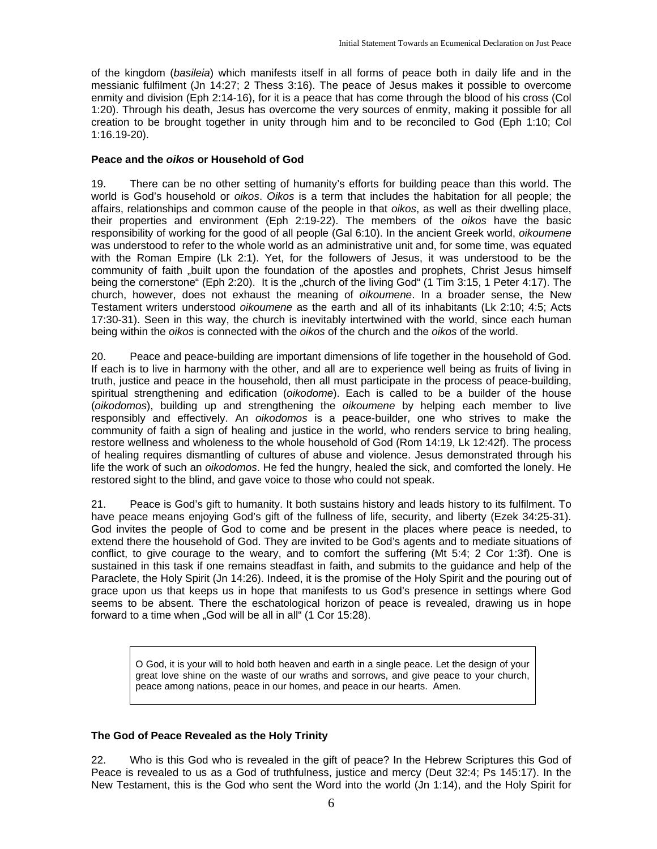of the kingdom (*basileia*) which manifests itself in all forms of peace both in daily life and in the messianic fulfilment (Jn 14:27; 2 Thess 3:16). The peace of Jesus makes it possible to overcome enmity and division (Eph 2:14-16), for it is a peace that has come through the blood of his cross (Col 1:20). Through his death, Jesus has overcome the very sources of enmity, making it possible for all creation to be brought together in unity through him and to be reconciled to God (Eph 1:10; Col 1:16.19-20).

#### **Peace and the** *oikos* **or Household of God**

19. There can be no other setting of humanity's efforts for building peace than this world. The world is God's household or *oikos*. *Oikos* is a term that includes the habitation for all people; the affairs, relationships and common cause of the people in that *oikos*, as well as their dwelling place, their properties and environment (Eph 2:19-22). The members of the *oikos* have the basic responsibility of working for the good of all people (Gal 6:10). In the ancient Greek world, *oikoumene* was understood to refer to the whole world as an administrative unit and, for some time, was equated with the Roman Empire (Lk 2:1). Yet, for the followers of Jesus, it was understood to be the community of faith "built upon the foundation of the apostles and prophets, Christ Jesus himself being the cornerstone" (Eph 2:20). It is the "church of the living God" (1 Tim 3:15, 1 Peter 4:17). The church, however, does not exhaust the meaning of *oikoumene*. In a broader sense, the New Testament writers understood *oikoumene* as the earth and all of its inhabitants (Lk 2:10; 4:5; Acts 17:30-31). Seen in this way, the church is inevitably intertwined with the world, since each human being within the *oikos* is connected with the *oikos* of the church and the *oikos* of the world.

20. Peace and peace-building are important dimensions of life together in the household of God. If each is to live in harmony with the other, and all are to experience well being as fruits of living in truth, justice and peace in the household, then all must participate in the process of peace-building, spiritual strengthening and edification (*oikodome*). Each is called to be a builder of the house (*oikodomos*), building up and strengthening the *oikoumene* by helping each member to live responsibly and effectively. An *oikodomos* is a peace-builder, one who strives to make the community of faith a sign of healing and justice in the world, who renders service to bring healing, restore wellness and wholeness to the whole household of God (Rom 14:19, Lk 12:42f). The process of healing requires dismantling of cultures of abuse and violence. Jesus demonstrated through his life the work of such an *oikodomos*. He fed the hungry, healed the sick, and comforted the lonely. He restored sight to the blind, and gave voice to those who could not speak.

21. Peace is God's gift to humanity. It both sustains history and leads history to its fulfilment. To have peace means enjoying God's gift of the fullness of life, security, and liberty (Ezek 34:25-31). God invites the people of God to come and be present in the places where peace is needed, to extend there the household of God. They are invited to be God's agents and to mediate situations of conflict, to give courage to the weary, and to comfort the suffering (Mt 5:4; 2 Cor 1:3f). One is sustained in this task if one remains steadfast in faith, and submits to the guidance and help of the Paraclete, the Holy Spirit (Jn 14:26). Indeed, it is the promise of the Holy Spirit and the pouring out of grace upon us that keeps us in hope that manifests to us God's presence in settings where God seems to be absent. There the eschatological horizon of peace is revealed, drawing us in hope forward to a time when "God will be all in all" (1 Cor 15:28).

O God, it is your will to hold both heaven and earth in a single peace. Let the design of your great love shine on the waste of our wraths and sorrows, and give peace to your church, peace among nations, peace in our homes, and peace in our hearts. Amen.

#### **The God of Peace Revealed as the Holy Trinity**

22. Who is this God who is revealed in the gift of peace? In the Hebrew Scriptures this God of Peace is revealed to us as a God of truthfulness, justice and mercy (Deut 32:4; Ps 145:17). In the New Testament, this is the God who sent the Word into the world (Jn 1:14), and the Holy Spirit for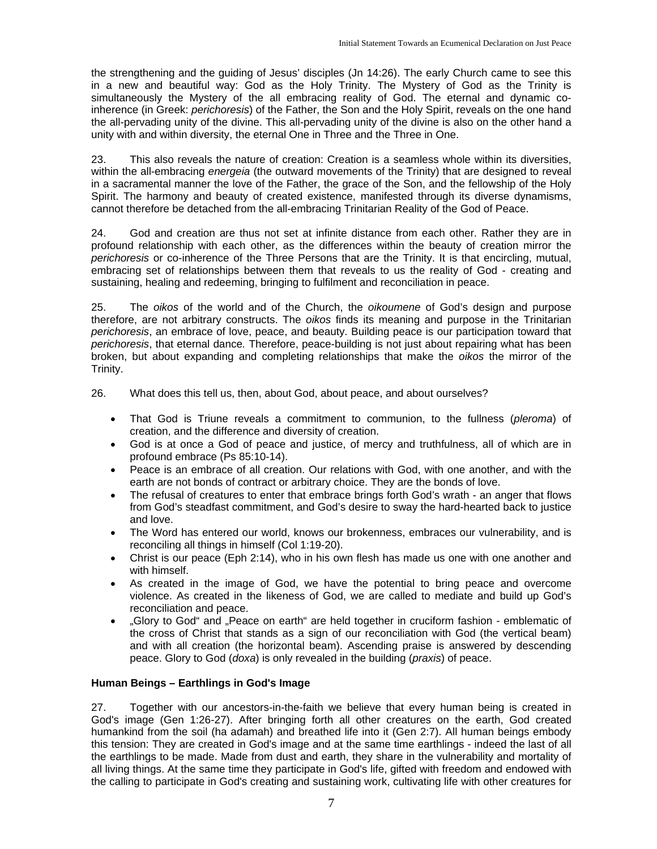the strengthening and the guiding of Jesus' disciples (Jn 14:26). The early Church came to see this in a new and beautiful way: God as the Holy Trinity. The Mystery of God as the Trinity is simultaneously the Mystery of the all embracing reality of God. The eternal and dynamic coinherence (in Greek: *perichoresis*) of the Father, the Son and the Holy Spirit, reveals on the one hand the all-pervading unity of the divine. This all-pervading unity of the divine is also on the other hand a unity with and within diversity, the eternal One in Three and the Three in One.

23. This also reveals the nature of creation: Creation is a seamless whole within its diversities, within the all-embracing *energeia* (the outward movements of the Trinity) that are designed to reveal in a sacramental manner the love of the Father, the grace of the Son, and the fellowship of the Holy Spirit. The harmony and beauty of created existence, manifested through its diverse dynamisms, cannot therefore be detached from the all-embracing Trinitarian Reality of the God of Peace.

24. God and creation are thus not set at infinite distance from each other. Rather they are in profound relationship with each other, as the differences within the beauty of creation mirror the *perichoresis* or co-inherence of the Three Persons that are the Trinity. It is that encircling, mutual, embracing set of relationships between them that reveals to us the reality of God - creating and sustaining, healing and redeeming, bringing to fulfilment and reconciliation in peace.

25. The *oikos* of the world and of the Church, the *oikoumene* of God's design and purpose therefore, are not arbitrary constructs. The *oikos* finds its meaning and purpose in the Trinitarian *perichoresis*, an embrace of love, peace, and beauty. Building peace is our participation toward that *perichoresis*, that eternal dance*.* Therefore, peace-building is not just about repairing what has been broken, but about expanding and completing relationships that make the *oikos* the mirror of the Trinity.

- 26. What does this tell us, then, about God, about peace, and about ourselves?
	- That God is Triune reveals a commitment to communion, to the fullness (*pleroma*) of creation, and the difference and diversity of creation.
	- God is at once a God of peace and justice, of mercy and truthfulness, all of which are in profound embrace (Ps 85:10-14).
	- Peace is an embrace of all creation. Our relations with God, with one another, and with the earth are not bonds of contract or arbitrary choice. They are the bonds of love.
	- The refusal of creatures to enter that embrace brings forth God's wrath an anger that flows from God's steadfast commitment, and God's desire to sway the hard-hearted back to justice and love.
	- The Word has entered our world, knows our brokenness, embraces our vulnerability, and is reconciling all things in himself (Col 1:19-20).
	- Christ is our peace (Eph 2:14), who in his own flesh has made us one with one another and with himself.
	- As created in the image of God, we have the potential to bring peace and overcome violence. As created in the likeness of God, we are called to mediate and build up God's reconciliation and peace.
	- "Glory to God" and "Peace on earth" are held together in cruciform fashion emblematic of the cross of Christ that stands as a sign of our reconciliation with God (the vertical beam) and with all creation (the horizontal beam). Ascending praise is answered by descending peace. Glory to God (*doxa*) is only revealed in the building (*praxis*) of peace.

#### **Human Beings – Earthlings in God's Image**

27. Together with our ancestors-in-the-faith we believe that every human being is created in God's image (Gen 1:26-27). After bringing forth all other creatures on the earth, God created humankind from the soil (ha adamah) and breathed life into it (Gen 2:7). All human beings embody this tension: They are created in God's image and at the same time earthlings - indeed the last of all the earthlings to be made. Made from dust and earth, they share in the vulnerability and mortality of all living things. At the same time they participate in God's life, gifted with freedom and endowed with the calling to participate in God's creating and sustaining work, cultivating life with other creatures for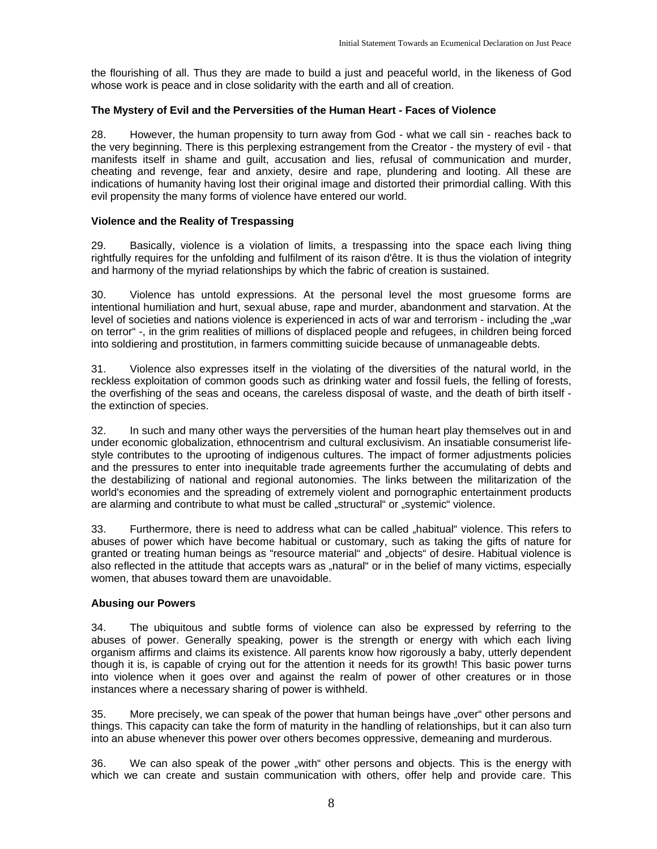the flourishing of all. Thus they are made to build a just and peaceful world, in the likeness of God whose work is peace and in close solidarity with the earth and all of creation.

#### **The Mystery of Evil and the Perversities of the Human Heart - Faces of Violence**

28. However, the human propensity to turn away from God - what we call sin - reaches back to the very beginning. There is this perplexing estrangement from the Creator - the mystery of evil - that manifests itself in shame and guilt, accusation and lies, refusal of communication and murder, cheating and revenge, fear and anxiety, desire and rape, plundering and looting. All these are indications of humanity having lost their original image and distorted their primordial calling. With this evil propensity the many forms of violence have entered our world.

#### **Violence and the Reality of Trespassing**

29. Basically, violence is a violation of limits, a trespassing into the space each living thing rightfully requires for the unfolding and fulfilment of its raison d'être. It is thus the violation of integrity and harmony of the myriad relationships by which the fabric of creation is sustained.

30. Violence has untold expressions. At the personal level the most gruesome forms are intentional humiliation and hurt, sexual abuse, rape and murder, abandonment and starvation. At the level of societies and nations violence is experienced in acts of war and terrorism - including the "war on terror" -, in the grim realities of millions of displaced people and refugees, in children being forced into soldiering and prostitution, in farmers committing suicide because of unmanageable debts.

31. Violence also expresses itself in the violating of the diversities of the natural world, in the reckless exploitation of common goods such as drinking water and fossil fuels, the felling of forests, the overfishing of the seas and oceans, the careless disposal of waste, and the death of birth itself the extinction of species.

32. In such and many other ways the perversities of the human heart play themselves out in and under economic globalization, ethnocentrism and cultural exclusivism. An insatiable consumerist lifestyle contributes to the uprooting of indigenous cultures. The impact of former adjustments policies and the pressures to enter into inequitable trade agreements further the accumulating of debts and the destabilizing of national and regional autonomies. The links between the militarization of the world's economies and the spreading of extremely violent and pornographic entertainment products are alarming and contribute to what must be called "structural" or "systemic" violence.

33. Furthermore, there is need to address what can be called "habitual" violence. This refers to abuses of power which have become habitual or customary, such as taking the gifts of nature for granted or treating human beings as "resource material" and "objects" of desire. Habitual violence is also reflected in the attitude that accepts wars as "natural" or in the belief of many victims, especially women, that abuses toward them are unavoidable.

#### **Abusing our Powers**

34. The ubiquitous and subtle forms of violence can also be expressed by referring to the abuses of power. Generally speaking, power is the strength or energy with which each living organism affirms and claims its existence. All parents know how rigorously a baby, utterly dependent though it is, is capable of crying out for the attention it needs for its growth! This basic power turns into violence when it goes over and against the realm of power of other creatures or in those instances where a necessary sharing of power is withheld.

35. More precisely, we can speak of the power that human beings have "over" other persons and things. This capacity can take the form of maturity in the handling of relationships, but it can also turn into an abuse whenever this power over others becomes oppressive, demeaning and murderous.

36. We can also speak of the power "with" other persons and objects. This is the energy with which we can create and sustain communication with others, offer help and provide care. This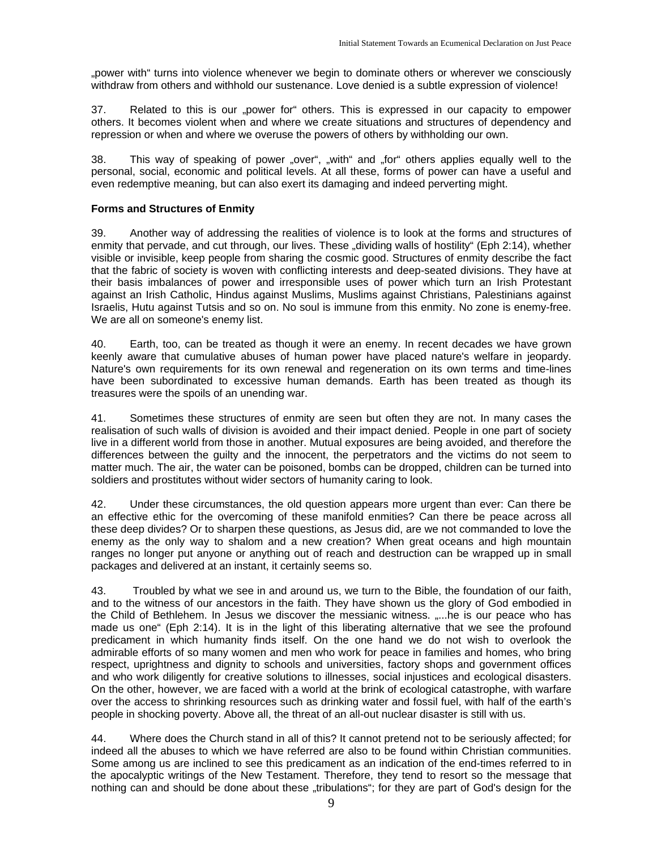"power with" turns into violence whenever we begin to dominate others or wherever we consciously withdraw from others and withhold our sustenance. Love denied is a subtle expression of violence!

37. Related to this is our "power for" others. This is expressed in our capacity to empower others. It becomes violent when and where we create situations and structures of dependency and repression or when and where we overuse the powers of others by withholding our own.

38. This way of speaking of power "over", "with" and "for" others applies equally well to the personal, social, economic and political levels. At all these, forms of power can have a useful and even redemptive meaning, but can also exert its damaging and indeed perverting might.

#### **Forms and Structures of Enmity**

39. Another way of addressing the realities of violence is to look at the forms and structures of enmity that pervade, and cut through, our lives. These "dividing walls of hostility" (Eph 2:14), whether visible or invisible, keep people from sharing the cosmic good. Structures of enmity describe the fact that the fabric of society is woven with conflicting interests and deep-seated divisions. They have at their basis imbalances of power and irresponsible uses of power which turn an Irish Protestant against an Irish Catholic, Hindus against Muslims, Muslims against Christians, Palestinians against Israelis, Hutu against Tutsis and so on. No soul is immune from this enmity. No zone is enemy-free. We are all on someone's enemy list.

40. Earth, too, can be treated as though it were an enemy. In recent decades we have grown keenly aware that cumulative abuses of human power have placed nature's welfare in jeopardy. Nature's own requirements for its own renewal and regeneration on its own terms and time-lines have been subordinated to excessive human demands. Earth has been treated as though its treasures were the spoils of an unending war.

41. Sometimes these structures of enmity are seen but often they are not. In many cases the realisation of such walls of division is avoided and their impact denied. People in one part of society live in a different world from those in another. Mutual exposures are being avoided, and therefore the differences between the guilty and the innocent, the perpetrators and the victims do not seem to matter much. The air, the water can be poisoned, bombs can be dropped, children can be turned into soldiers and prostitutes without wider sectors of humanity caring to look.

42. Under these circumstances, the old question appears more urgent than ever: Can there be an effective ethic for the overcoming of these manifold enmities? Can there be peace across all these deep divides? Or to sharpen these questions, as Jesus did, are we not commanded to love the enemy as the only way to shalom and a new creation? When great oceans and high mountain ranges no longer put anyone or anything out of reach and destruction can be wrapped up in small packages and delivered at an instant, it certainly seems so.

43. Troubled by what we see in and around us, we turn to the Bible, the foundation of our faith, and to the witness of our ancestors in the faith. They have shown us the glory of God embodied in the Child of Bethlehem. In Jesus we discover the messianic witness. .....he is our peace who has made us one" (Eph 2:14). It is in the light of this liberating alternative that we see the profound predicament in which humanity finds itself. On the one hand we do not wish to overlook the admirable efforts of so many women and men who work for peace in families and homes, who bring respect, uprightness and dignity to schools and universities, factory shops and government offices and who work diligently for creative solutions to illnesses, social injustices and ecological disasters. On the other, however, we are faced with a world at the brink of ecological catastrophe, with warfare over the access to shrinking resources such as drinking water and fossil fuel, with half of the earth's people in shocking poverty. Above all, the threat of an all-out nuclear disaster is still with us.

44. Where does the Church stand in all of this? It cannot pretend not to be seriously affected; for indeed all the abuses to which we have referred are also to be found within Christian communities. Some among us are inclined to see this predicament as an indication of the end-times referred to in the apocalyptic writings of the New Testament. Therefore, they tend to resort so the message that nothing can and should be done about these "tribulations"; for they are part of God's design for the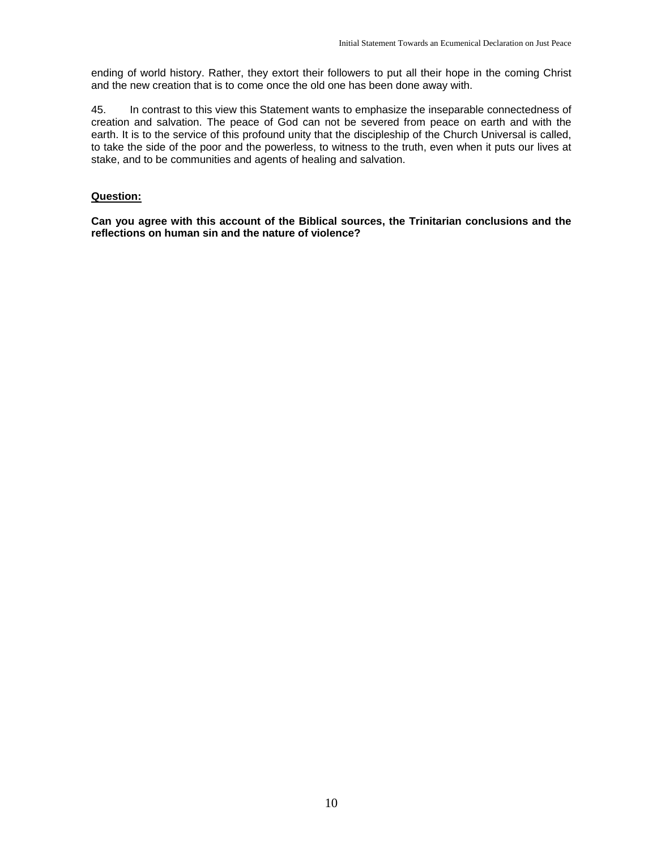ending of world history. Rather, they extort their followers to put all their hope in the coming Christ and the new creation that is to come once the old one has been done away with.

45. In contrast to this view this Statement wants to emphasize the inseparable connectedness of creation and salvation. The peace of God can not be severed from peace on earth and with the earth. It is to the service of this profound unity that the discipleship of the Church Universal is called, to take the side of the poor and the powerless, to witness to the truth, even when it puts our lives at stake, and to be communities and agents of healing and salvation.

#### **Question:**

**Can you agree with this account of the Biblical sources, the Trinitarian conclusions and the reflections on human sin and the nature of violence?**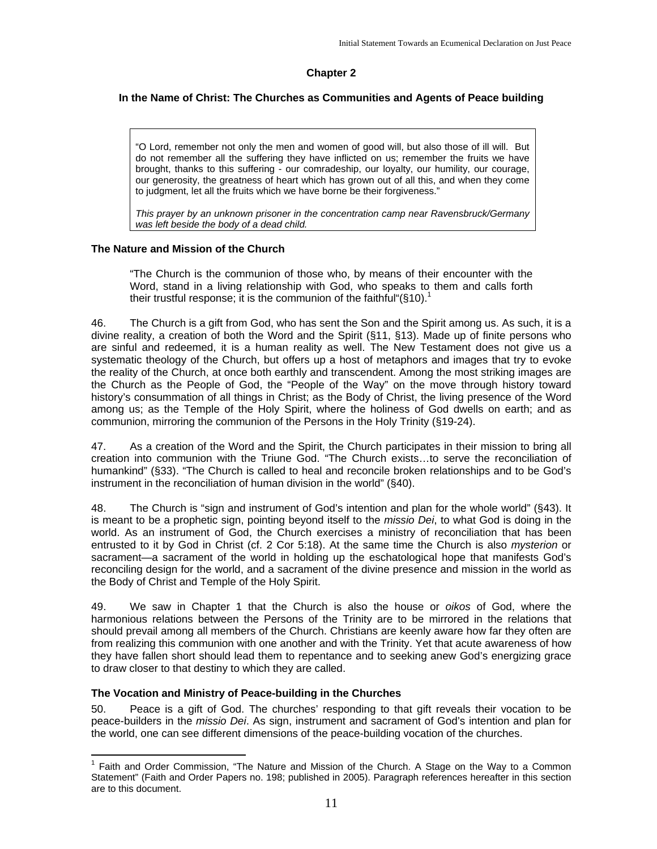#### **Chapter 2**

#### **In the Name of Christ: The Churches as Communities and Agents of Peace building**

"O Lord, remember not only the men and women of good will, but also those of ill will. But do not remember all the suffering they have inflicted on us; remember the fruits we have brought, thanks to this suffering - our comradeship, our loyalty, our humility, our courage, our generosity, the greatness of heart which has grown out of all this, and when they come to judgment, let all the fruits which we have borne be their forgiveness."

*This prayer by an unknown prisoner in the concentration camp near Ravensbruck/Germany was left beside the body of a dead child.*

#### **The Nature and Mission of the Church**

"The Church is the communion of those who, by means of their encounter with the Word, stand in a living relationship with God, who speaks to them and calls forth their trustful response; it is the communion of the faithful " $(S10)^1$ 

46. The Church is a gift from God, who has sent the Son and the Spirit among us. As such, it is a divine reality, a creation of both the Word and the Spirit (§11, §13). Made up of finite persons who are sinful and redeemed, it is a human reality as well. The New Testament does not give us a systematic theology of the Church, but offers up a host of metaphors and images that try to evoke the reality of the Church, at once both earthly and transcendent. Among the most striking images are the Church as the People of God, the "People of the Way" on the move through history toward history's consummation of all things in Christ; as the Body of Christ, the living presence of the Word among us; as the Temple of the Holy Spirit, where the holiness of God dwells on earth; and as communion, mirroring the communion of the Persons in the Holy Trinity (§19-24).

47. As a creation of the Word and the Spirit, the Church participates in their mission to bring all creation into communion with the Triune God. "The Church exists…to serve the reconciliation of humankind" (§33). "The Church is called to heal and reconcile broken relationships and to be God's instrument in the reconciliation of human division in the world" (§40).

48. The Church is "sign and instrument of God's intention and plan for the whole world" (§43). It is meant to be a prophetic sign, pointing beyond itself to the *missio Dei*, to what God is doing in the world. As an instrument of God, the Church exercises a ministry of reconciliation that has been entrusted to it by God in Christ (cf. 2 Cor 5:18). At the same time the Church is also *mysterion* or sacrament—a sacrament of the world in holding up the eschatological hope that manifests God's reconciling design for the world, and a sacrament of the divine presence and mission in the world as the Body of Christ and Temple of the Holy Spirit.

49. We saw in Chapter 1 that the Church is also the house or *oikos* of God, where the harmonious relations between the Persons of the Trinity are to be mirrored in the relations that should prevail among all members of the Church. Christians are keenly aware how far they often are from realizing this communion with one another and with the Trinity. Yet that acute awareness of how they have fallen short should lead them to repentance and to seeking anew God's energizing grace to draw closer to that destiny to which they are called.

#### **The Vocation and Ministry of Peace-building in the Churches**

50. Peace is a gift of God. The churches' responding to that gift reveals their vocation to be peace-builders in the *missio Dei*. As sign, instrument and sacrament of God's intention and plan for the world, one can see different dimensions of the peace-building vocation of the churches.

 $\overline{a}$ <sup>1</sup> Faith and Order Commission, "The Nature and Mission of the Church. A Stage on the Way to a Common Statement" (Faith and Order Papers no. 198; published in 2005). Paragraph references hereafter in this section are to this document.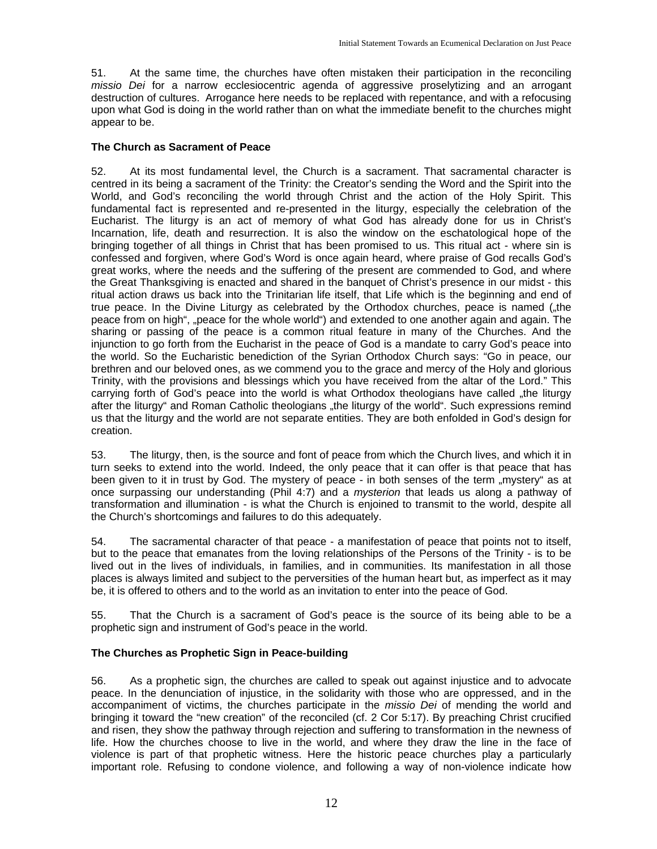51. At the same time, the churches have often mistaken their participation in the reconciling *missio Dei* for a narrow ecclesiocentric agenda of aggressive proselytizing and an arrogant destruction of cultures. Arrogance here needs to be replaced with repentance, and with a refocusing upon what God is doing in the world rather than on what the immediate benefit to the churches might appear to be.

#### **The Church as Sacrament of Peace**

52. At its most fundamental level, the Church is a sacrament. That sacramental character is centred in its being a sacrament of the Trinity: the Creator's sending the Word and the Spirit into the World, and God's reconciling the world through Christ and the action of the Holy Spirit. This fundamental fact is represented and re-presented in the liturgy, especially the celebration of the Eucharist. The liturgy is an act of memory of what God has already done for us in Christ's Incarnation, life, death and resurrection. It is also the window on the eschatological hope of the bringing together of all things in Christ that has been promised to us. This ritual act - where sin is confessed and forgiven, where God's Word is once again heard, where praise of God recalls God's great works, where the needs and the suffering of the present are commended to God, and where the Great Thanksgiving is enacted and shared in the banquet of Christ's presence in our midst - this ritual action draws us back into the Trinitarian life itself, that Life which is the beginning and end of true peace. In the Divine Liturgy as celebrated by the Orthodox churches, peace is named ("the peace from on high", "peace for the whole world") and extended to one another again and again. The sharing or passing of the peace is a common ritual feature in many of the Churches. And the injunction to go forth from the Eucharist in the peace of God is a mandate to carry God's peace into the world. So the Eucharistic benediction of the Syrian Orthodox Church says: "Go in peace, our brethren and our beloved ones, as we commend you to the grace and mercy of the Holy and glorious Trinity, with the provisions and blessings which you have received from the altar of the Lord." This carrying forth of God's peace into the world is what Orthodox theologians have called "the liturgy after the liturgy" and Roman Catholic theologians "the liturgy of the world". Such expressions remind us that the liturgy and the world are not separate entities. They are both enfolded in God's design for creation.

53. The liturgy, then, is the source and font of peace from which the Church lives, and which it in turn seeks to extend into the world. Indeed, the only peace that it can offer is that peace that has been given to it in trust by God. The mystery of peace - in both senses of the term "mystery" as at once surpassing our understanding (Phil 4:7) and a *mysterion* that leads us along a pathway of transformation and illumination - is what the Church is enjoined to transmit to the world, despite all the Church's shortcomings and failures to do this adequately.

54. The sacramental character of that peace - a manifestation of peace that points not to itself, but to the peace that emanates from the loving relationships of the Persons of the Trinity - is to be lived out in the lives of individuals, in families, and in communities. Its manifestation in all those places is always limited and subject to the perversities of the human heart but, as imperfect as it may be, it is offered to others and to the world as an invitation to enter into the peace of God.

55. That the Church is a sacrament of God's peace is the source of its being able to be a prophetic sign and instrument of God's peace in the world.

#### **The Churches as Prophetic Sign in Peace-building**

56. As a prophetic sign, the churches are called to speak out against injustice and to advocate peace. In the denunciation of injustice, in the solidarity with those who are oppressed, and in the accompaniment of victims, the churches participate in the *missio Dei* of mending the world and bringing it toward the "new creation" of the reconciled (cf. 2 Cor 5:17). By preaching Christ crucified and risen, they show the pathway through rejection and suffering to transformation in the newness of life. How the churches choose to live in the world, and where they draw the line in the face of violence is part of that prophetic witness. Here the historic peace churches play a particularly important role. Refusing to condone violence, and following a way of non-violence indicate how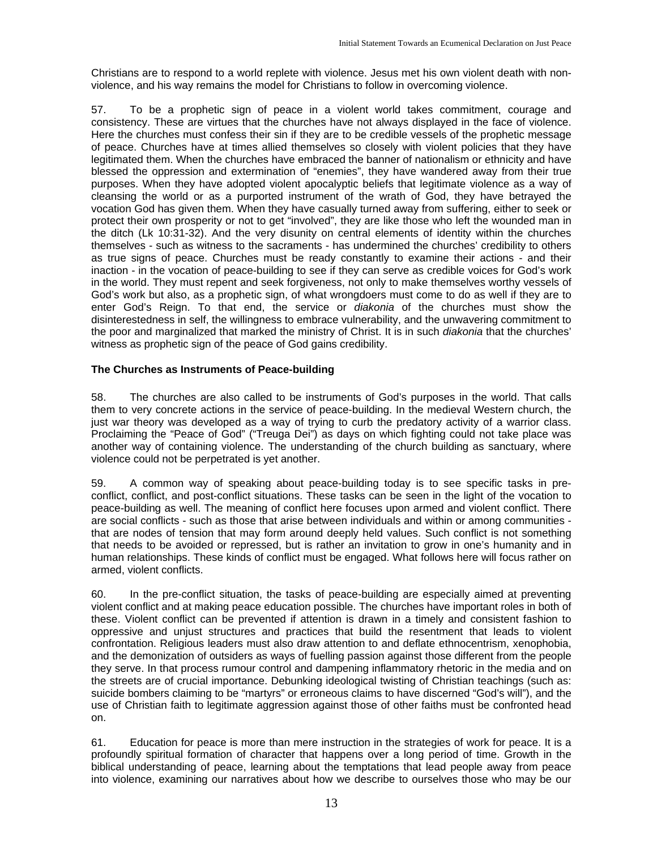Christians are to respond to a world replete with violence. Jesus met his own violent death with nonviolence, and his way remains the model for Christians to follow in overcoming violence.

57. To be a prophetic sign of peace in a violent world takes commitment, courage and consistency. These are virtues that the churches have not always displayed in the face of violence. Here the churches must confess their sin if they are to be credible vessels of the prophetic message of peace. Churches have at times allied themselves so closely with violent policies that they have legitimated them. When the churches have embraced the banner of nationalism or ethnicity and have blessed the oppression and extermination of "enemies", they have wandered away from their true purposes. When they have adopted violent apocalyptic beliefs that legitimate violence as a way of cleansing the world or as a purported instrument of the wrath of God, they have betrayed the vocation God has given them. When they have casually turned away from suffering, either to seek or protect their own prosperity or not to get "involved", they are like those who left the wounded man in the ditch (Lk 10:31-32). And the very disunity on central elements of identity within the churches themselves - such as witness to the sacraments - has undermined the churches' credibility to others as true signs of peace. Churches must be ready constantly to examine their actions - and their inaction - in the vocation of peace-building to see if they can serve as credible voices for God's work in the world. They must repent and seek forgiveness, not only to make themselves worthy vessels of God's work but also, as a prophetic sign, of what wrongdoers must come to do as well if they are to enter God's Reign. To that end, the service or *diakonia* of the churches must show the disinterestedness in self, the willingness to embrace vulnerability, and the unwavering commitment to the poor and marginalized that marked the ministry of Christ. It is in such *diakonia* that the churches' witness as prophetic sign of the peace of God gains credibility.

#### **The Churches as Instruments of Peace-building**

58. The churches are also called to be instruments of God's purposes in the world. That calls them to very concrete actions in the service of peace-building. In the medieval Western church, the just war theory was developed as a way of trying to curb the predatory activity of a warrior class. Proclaiming the "Peace of God" ("Treuga Dei") as days on which fighting could not take place was another way of containing violence. The understanding of the church building as sanctuary, where violence could not be perpetrated is yet another.

59. A common way of speaking about peace-building today is to see specific tasks in preconflict, conflict, and post-conflict situations. These tasks can be seen in the light of the vocation to peace-building as well. The meaning of conflict here focuses upon armed and violent conflict. There are social conflicts - such as those that arise between individuals and within or among communities that are nodes of tension that may form around deeply held values. Such conflict is not something that needs to be avoided or repressed, but is rather an invitation to grow in one's humanity and in human relationships. These kinds of conflict must be engaged. What follows here will focus rather on armed, violent conflicts.

60. In the pre-conflict situation, the tasks of peace-building are especially aimed at preventing violent conflict and at making peace education possible. The churches have important roles in both of these. Violent conflict can be prevented if attention is drawn in a timely and consistent fashion to oppressive and unjust structures and practices that build the resentment that leads to violent confrontation. Religious leaders must also draw attention to and deflate ethnocentrism, xenophobia, and the demonization of outsiders as ways of fuelling passion against those different from the people they serve. In that process rumour control and dampening inflammatory rhetoric in the media and on the streets are of crucial importance. Debunking ideological twisting of Christian teachings (such as: suicide bombers claiming to be "martyrs" or erroneous claims to have discerned "God's will"), and the use of Christian faith to legitimate aggression against those of other faiths must be confronted head on.

61. Education for peace is more than mere instruction in the strategies of work for peace. It is a profoundly spiritual formation of character that happens over a long period of time. Growth in the biblical understanding of peace, learning about the temptations that lead people away from peace into violence, examining our narratives about how we describe to ourselves those who may be our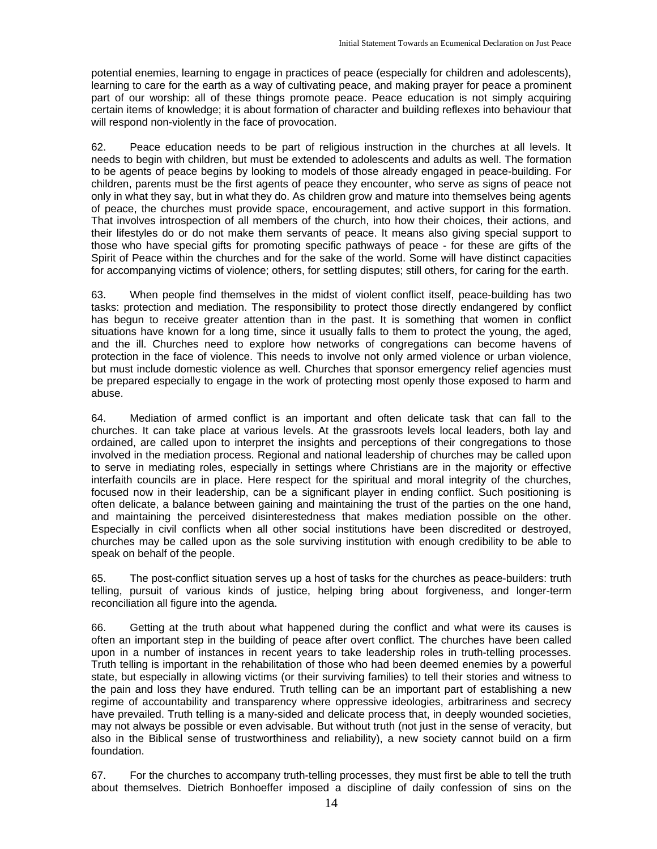potential enemies, learning to engage in practices of peace (especially for children and adolescents), learning to care for the earth as a way of cultivating peace, and making prayer for peace a prominent part of our worship: all of these things promote peace. Peace education is not simply acquiring certain items of knowledge; it is about formation of character and building reflexes into behaviour that will respond non-violently in the face of provocation.

62. Peace education needs to be part of religious instruction in the churches at all levels. It needs to begin with children, but must be extended to adolescents and adults as well. The formation to be agents of peace begins by looking to models of those already engaged in peace-building. For children, parents must be the first agents of peace they encounter, who serve as signs of peace not only in what they say, but in what they do. As children grow and mature into themselves being agents of peace, the churches must provide space, encouragement, and active support in this formation. That involves introspection of all members of the church, into how their choices, their actions, and their lifestyles do or do not make them servants of peace. It means also giving special support to those who have special gifts for promoting specific pathways of peace - for these are gifts of the Spirit of Peace within the churches and for the sake of the world. Some will have distinct capacities for accompanying victims of violence; others, for settling disputes; still others, for caring for the earth.

63. When people find themselves in the midst of violent conflict itself, peace-building has two tasks: protection and mediation. The responsibility to protect those directly endangered by conflict has begun to receive greater attention than in the past. It is something that women in conflict situations have known for a long time, since it usually falls to them to protect the young, the aged, and the ill. Churches need to explore how networks of congregations can become havens of protection in the face of violence. This needs to involve not only armed violence or urban violence, but must include domestic violence as well. Churches that sponsor emergency relief agencies must be prepared especially to engage in the work of protecting most openly those exposed to harm and abuse.

64. Mediation of armed conflict is an important and often delicate task that can fall to the churches. It can take place at various levels. At the grassroots levels local leaders, both lay and ordained, are called upon to interpret the insights and perceptions of their congregations to those involved in the mediation process. Regional and national leadership of churches may be called upon to serve in mediating roles, especially in settings where Christians are in the majority or effective interfaith councils are in place. Here respect for the spiritual and moral integrity of the churches, focused now in their leadership, can be a significant player in ending conflict. Such positioning is often delicate, a balance between gaining and maintaining the trust of the parties on the one hand, and maintaining the perceived disinterestedness that makes mediation possible on the other. Especially in civil conflicts when all other social institutions have been discredited or destroyed, churches may be called upon as the sole surviving institution with enough credibility to be able to speak on behalf of the people.

65. The post-conflict situation serves up a host of tasks for the churches as peace-builders: truth telling, pursuit of various kinds of justice, helping bring about forgiveness, and longer-term reconciliation all figure into the agenda.

66. Getting at the truth about what happened during the conflict and what were its causes is often an important step in the building of peace after overt conflict. The churches have been called upon in a number of instances in recent years to take leadership roles in truth-telling processes. Truth telling is important in the rehabilitation of those who had been deemed enemies by a powerful state, but especially in allowing victims (or their surviving families) to tell their stories and witness to the pain and loss they have endured. Truth telling can be an important part of establishing a new regime of accountability and transparency where oppressive ideologies, arbitrariness and secrecy have prevailed. Truth telling is a many-sided and delicate process that, in deeply wounded societies, may not always be possible or even advisable. But without truth (not just in the sense of veracity, but also in the Biblical sense of trustworthiness and reliability), a new society cannot build on a firm foundation.

67. For the churches to accompany truth-telling processes, they must first be able to tell the truth about themselves. Dietrich Bonhoeffer imposed a discipline of daily confession of sins on the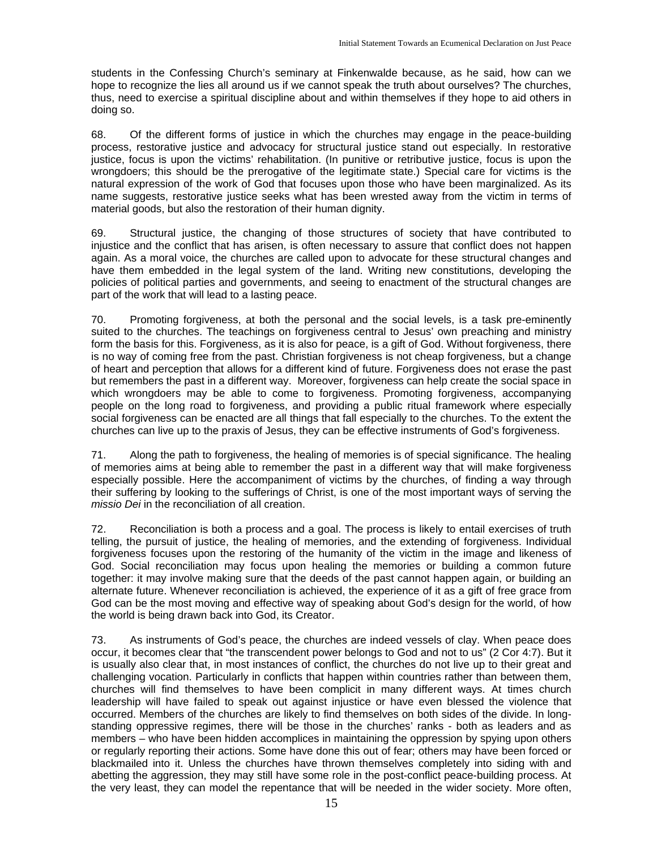students in the Confessing Church's seminary at Finkenwalde because, as he said, how can we hope to recognize the lies all around us if we cannot speak the truth about ourselves? The churches, thus, need to exercise a spiritual discipline about and within themselves if they hope to aid others in doing so.

68. Of the different forms of justice in which the churches may engage in the peace-building process, restorative justice and advocacy for structural justice stand out especially. In restorative justice, focus is upon the victims' rehabilitation. (In punitive or retributive justice, focus is upon the wrongdoers; this should be the prerogative of the legitimate state.) Special care for victims is the natural expression of the work of God that focuses upon those who have been marginalized. As its name suggests, restorative justice seeks what has been wrested away from the victim in terms of material goods, but also the restoration of their human dignity.

69. Structural justice, the changing of those structures of society that have contributed to injustice and the conflict that has arisen, is often necessary to assure that conflict does not happen again. As a moral voice, the churches are called upon to advocate for these structural changes and have them embedded in the legal system of the land. Writing new constitutions, developing the policies of political parties and governments, and seeing to enactment of the structural changes are part of the work that will lead to a lasting peace.

70. Promoting forgiveness, at both the personal and the social levels, is a task pre-eminently suited to the churches. The teachings on forgiveness central to Jesus' own preaching and ministry form the basis for this. Forgiveness, as it is also for peace, is a gift of God. Without forgiveness, there is no way of coming free from the past. Christian forgiveness is not cheap forgiveness, but a change of heart and perception that allows for a different kind of future. Forgiveness does not erase the past but remembers the past in a different way. Moreover, forgiveness can help create the social space in which wrongdoers may be able to come to forgiveness. Promoting forgiveness, accompanying people on the long road to forgiveness, and providing a public ritual framework where especially social forgiveness can be enacted are all things that fall especially to the churches. To the extent the churches can live up to the praxis of Jesus, they can be effective instruments of God's forgiveness.

71. Along the path to forgiveness, the healing of memories is of special significance. The healing of memories aims at being able to remember the past in a different way that will make forgiveness especially possible. Here the accompaniment of victims by the churches, of finding a way through their suffering by looking to the sufferings of Christ, is one of the most important ways of serving the *missio Dei* in the reconciliation of all creation.

72. Reconciliation is both a process and a goal. The process is likely to entail exercises of truth telling, the pursuit of justice, the healing of memories, and the extending of forgiveness. Individual forgiveness focuses upon the restoring of the humanity of the victim in the image and likeness of God. Social reconciliation may focus upon healing the memories or building a common future together: it may involve making sure that the deeds of the past cannot happen again, or building an alternate future. Whenever reconciliation is achieved, the experience of it as a gift of free grace from God can be the most moving and effective way of speaking about God's design for the world, of how the world is being drawn back into God, its Creator.

73. As instruments of God's peace, the churches are indeed vessels of clay. When peace does occur, it becomes clear that "the transcendent power belongs to God and not to us" (2 Cor 4:7). But it is usually also clear that, in most instances of conflict, the churches do not live up to their great and challenging vocation. Particularly in conflicts that happen within countries rather than between them, churches will find themselves to have been complicit in many different ways. At times church leadership will have failed to speak out against injustice or have even blessed the violence that occurred. Members of the churches are likely to find themselves on both sides of the divide. In longstanding oppressive regimes, there will be those in the churches' ranks - both as leaders and as members – who have been hidden accomplices in maintaining the oppression by spying upon others or regularly reporting their actions. Some have done this out of fear; others may have been forced or blackmailed into it. Unless the churches have thrown themselves completely into siding with and abetting the aggression, they may still have some role in the post-conflict peace-building process. At the very least, they can model the repentance that will be needed in the wider society. More often,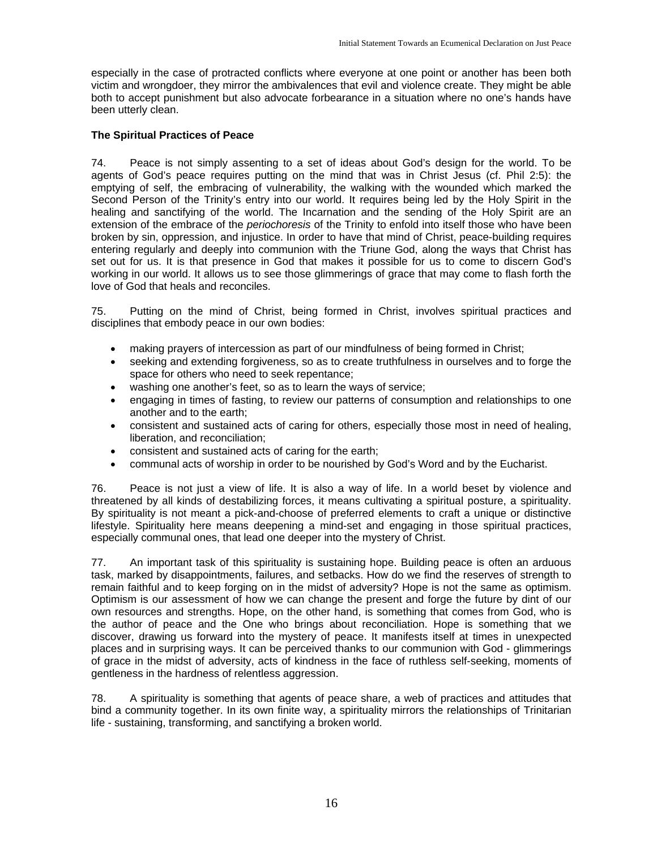especially in the case of protracted conflicts where everyone at one point or another has been both victim and wrongdoer, they mirror the ambivalences that evil and violence create. They might be able both to accept punishment but also advocate forbearance in a situation where no one's hands have been utterly clean.

#### **The Spiritual Practices of Peace**

74. Peace is not simply assenting to a set of ideas about God's design for the world. To be agents of God's peace requires putting on the mind that was in Christ Jesus (cf. Phil 2:5): the emptying of self, the embracing of vulnerability, the walking with the wounded which marked the Second Person of the Trinity's entry into our world. It requires being led by the Holy Spirit in the healing and sanctifying of the world. The Incarnation and the sending of the Holy Spirit are an extension of the embrace of the *periochoresis* of the Trinity to enfold into itself those who have been broken by sin, oppression, and injustice. In order to have that mind of Christ, peace-building requires entering regularly and deeply into communion with the Triune God, along the ways that Christ has set out for us. It is that presence in God that makes it possible for us to come to discern God's working in our world. It allows us to see those glimmerings of grace that may come to flash forth the love of God that heals and reconciles.

75. Putting on the mind of Christ, being formed in Christ, involves spiritual practices and disciplines that embody peace in our own bodies:

- making prayers of intercession as part of our mindfulness of being formed in Christ;
- seeking and extending forgiveness, so as to create truthfulness in ourselves and to forge the space for others who need to seek repentance;
- washing one another's feet, so as to learn the ways of service;
- engaging in times of fasting, to review our patterns of consumption and relationships to one another and to the earth;
- consistent and sustained acts of caring for others, especially those most in need of healing, liberation, and reconciliation;
- consistent and sustained acts of caring for the earth;
- communal acts of worship in order to be nourished by God's Word and by the Eucharist.

76. Peace is not just a view of life. It is also a way of life. In a world beset by violence and threatened by all kinds of destabilizing forces, it means cultivating a spiritual posture, a spirituality. By spirituality is not meant a pick-and-choose of preferred elements to craft a unique or distinctive lifestyle. Spirituality here means deepening a mind-set and engaging in those spiritual practices, especially communal ones, that lead one deeper into the mystery of Christ.

77. An important task of this spirituality is sustaining hope. Building peace is often an arduous task, marked by disappointments, failures, and setbacks. How do we find the reserves of strength to remain faithful and to keep forging on in the midst of adversity? Hope is not the same as optimism. Optimism is our assessment of how we can change the present and forge the future by dint of our own resources and strengths. Hope, on the other hand, is something that comes from God, who is the author of peace and the One who brings about reconciliation. Hope is something that we discover, drawing us forward into the mystery of peace. It manifests itself at times in unexpected places and in surprising ways. It can be perceived thanks to our communion with God - glimmerings of grace in the midst of adversity, acts of kindness in the face of ruthless self-seeking, moments of gentleness in the hardness of relentless aggression.

78. A spirituality is something that agents of peace share, a web of practices and attitudes that bind a community together. In its own finite way, a spirituality mirrors the relationships of Trinitarian life - sustaining, transforming, and sanctifying a broken world.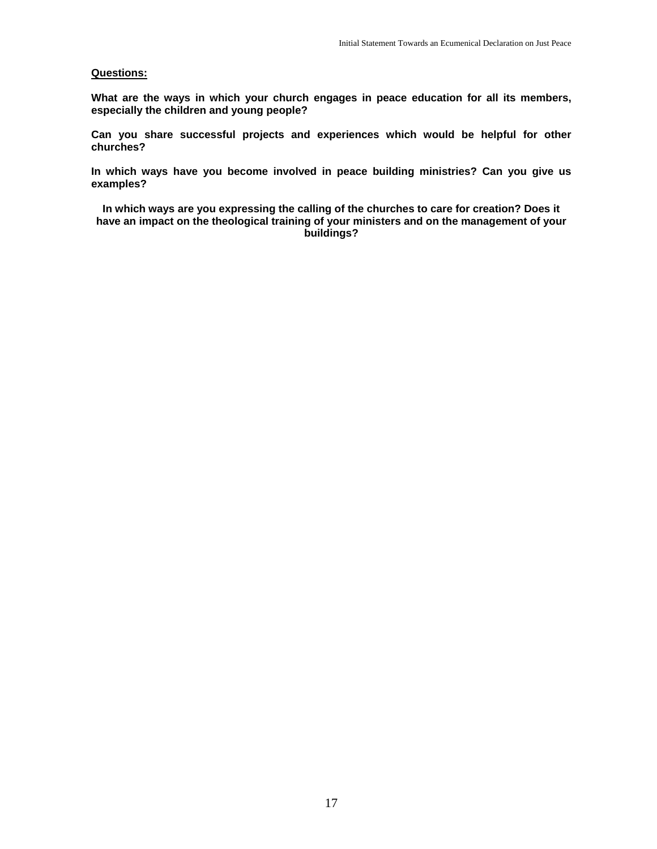#### **Questions:**

**What are the ways in which your church engages in peace education for all its members, especially the children and young people?** 

**Can you share successful projects and experiences which would be helpful for other churches?** 

**In which ways have you become involved in peace building ministries? Can you give us examples?** 

**In which ways are you expressing the calling of the churches to care for creation? Does it have an impact on the theological training of your ministers and on the management of your buildings?**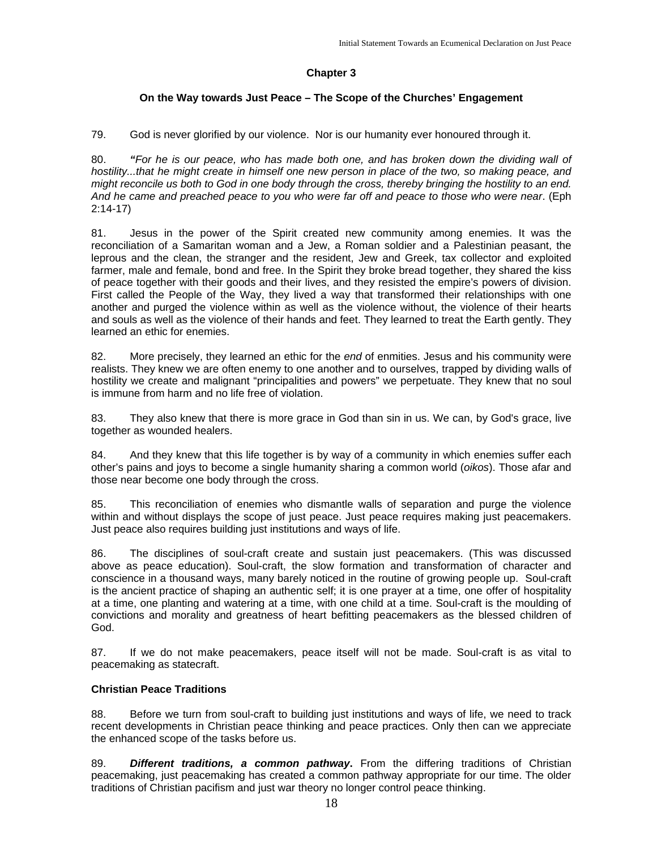#### **Chapter 3**

#### **On the Way towards Just Peace – The Scope of the Churches' Engagement**

79. God is never glorified by our violence. Nor is our humanity ever honoured through it.

80. *"For he is our peace, who has made both one, and has broken down the dividing wall of*  hostility...that he might create in himself one new person in place of the two, so making peace, and *might reconcile us both to God in one body through the cross, thereby bringing the hostility to an end. And he came and preached peace to you who were far off and peace to those who were near*. (Eph 2:14-17)

81. Jesus in the power of the Spirit created new community among enemies. It was the reconciliation of a Samaritan woman and a Jew, a Roman soldier and a Palestinian peasant, the leprous and the clean, the stranger and the resident, Jew and Greek, tax collector and exploited farmer, male and female, bond and free. In the Spirit they broke bread together, they shared the kiss of peace together with their goods and their lives, and they resisted the empire's powers of division. First called the People of the Way, they lived a way that transformed their relationships with one another and purged the violence within as well as the violence without, the violence of their hearts and souls as well as the violence of their hands and feet. They learned to treat the Earth gently. They learned an ethic for enemies.

82. More precisely, they learned an ethic for the *end* of enmities. Jesus and his community were realists. They knew we are often enemy to one another and to ourselves, trapped by dividing walls of hostility we create and malignant "principalities and powers" we perpetuate. They knew that no soul is immune from harm and no life free of violation.

83. They also knew that there is more grace in God than sin in us. We can, by God's grace, live together as wounded healers.

84. And they knew that this life together is by way of a community in which enemies suffer each other's pains and joys to become a single humanity sharing a common world (*oikos*). Those afar and those near become one body through the cross.

85. This reconciliation of enemies who dismantle walls of separation and purge the violence within and without displays the scope of just peace. Just peace requires making just peacemakers. Just peace also requires building just institutions and ways of life.

86. The disciplines of soul-craft create and sustain just peacemakers. (This was discussed above as peace education). Soul-craft, the slow formation and transformation of character and conscience in a thousand ways, many barely noticed in the routine of growing people up. Soul-craft is the ancient practice of shaping an authentic self; it is one prayer at a time, one offer of hospitality at a time, one planting and watering at a time, with one child at a time. Soul-craft is the moulding of convictions and morality and greatness of heart befitting peacemakers as the blessed children of God.

87. If we do not make peacemakers, peace itself will not be made. Soul-craft is as vital to peacemaking as statecraft.

#### **Christian Peace Traditions**

88. Before we turn from soul-craft to building just institutions and ways of life, we need to track recent developments in Christian peace thinking and peace practices. Only then can we appreciate the enhanced scope of the tasks before us.

89. *Different traditions, a common pathway***.** From the differing traditions of Christian peacemaking, just peacemaking has created a common pathway appropriate for our time. The older traditions of Christian pacifism and just war theory no longer control peace thinking.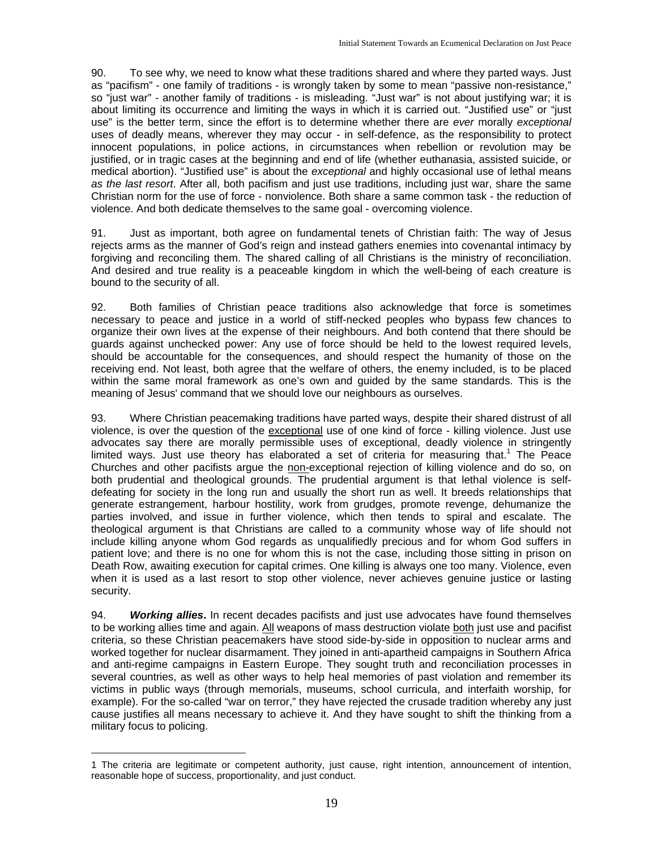90. To see why, we need to know what these traditions shared and where they parted ways. Just as "pacifism" - one family of traditions - is wrongly taken by some to mean "passive non-resistance," so "just war" - another family of traditions - is misleading. "Just war" is not about justifying war; it is about limiting its occurrence and limiting the ways in which it is carried out. "Justified use" or "just use" is the better term, since the effort is to determine whether there are *ever* morally *exceptional* uses of deadly means, wherever they may occur - in self-defence, as the responsibility to protect innocent populations, in police actions, in circumstances when rebellion or revolution may be justified, or in tragic cases at the beginning and end of life (whether euthanasia, assisted suicide, or medical abortion). "Justified use" is about the *exceptional* and highly occasional use of lethal means *as the last resort*. After all, both pacifism and just use traditions, including just war, share the same Christian norm for the use of force - nonviolence. Both share a same common task - the reduction of violence. And both dedicate themselves to the same goal - overcoming violence.

91. Just as important, both agree on fundamental tenets of Christian faith: The way of Jesus rejects arms as the manner of God's reign and instead gathers enemies into covenantal intimacy by forgiving and reconciling them. The shared calling of all Christians is the ministry of reconciliation. And desired and true reality is a peaceable kingdom in which the well-being of each creature is bound to the security of all.

92. Both families of Christian peace traditions also acknowledge that force is sometimes necessary to peace and justice in a world of stiff-necked peoples who bypass few chances to organize their own lives at the expense of their neighbours. And both contend that there should be guards against unchecked power: Any use of force should be held to the lowest required levels, should be accountable for the consequences, and should respect the humanity of those on the receiving end. Not least, both agree that the welfare of others, the enemy included, is to be placed within the same moral framework as one's own and guided by the same standards. This is the meaning of Jesus' command that we should love our neighbours as ourselves.

93. Where Christian peacemaking traditions have parted ways, despite their shared distrust of all violence, is over the question of the exceptional use of one kind of force - killing violence. Just use advocates say there are morally permissible uses of exceptional, deadly violence in stringently limited ways. Just use theory has elaborated a set of criteria for measuring that.<sup>1</sup> The Peace Churches and other pacifists argue the non-exceptional rejection of killing violence and do so, on both prudential and theological grounds. The prudential argument is that lethal violence is selfdefeating for society in the long run and usually the short run as well. It breeds relationships that generate estrangement, harbour hostility, work from grudges, promote revenge, dehumanize the parties involved, and issue in further violence, which then tends to spiral and escalate. The theological argument is that Christians are called to a community whose way of life should not include killing anyone whom God regards as unqualifiedly precious and for whom God suffers in patient love; and there is no one for whom this is not the case, including those sitting in prison on Death Row, awaiting execution for capital crimes. One killing is always one too many. Violence, even when it is used as a last resort to stop other violence, never achieves genuine justice or lasting security.

94. *Working allies***.** In recent decades pacifists and just use advocates have found themselves to be working allies time and again. All weapons of mass destruction violate both just use and pacifist criteria, so these Christian peacemakers have stood side-by-side in opposition to nuclear arms and worked together for nuclear disarmament. They joined in anti-apartheid campaigns in Southern Africa and anti-regime campaigns in Eastern Europe. They sought truth and reconciliation processes in several countries, as well as other ways to help heal memories of past violation and remember its victims in public ways (through memorials, museums, school curricula, and interfaith worship, for example). For the so-called "war on terror," they have rejected the crusade tradition whereby any just cause justifies all means necessary to achieve it. And they have sought to shift the thinking from a military focus to policing.

1

<sup>1</sup> The criteria are legitimate or competent authority, just cause, right intention, announcement of intention, reasonable hope of success, proportionality, and just conduct.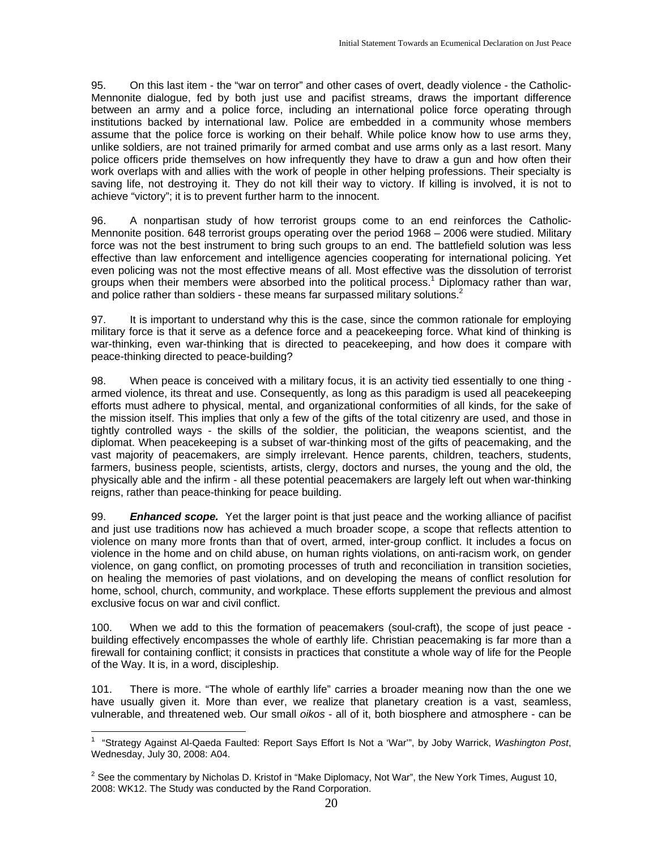95. On this last item - the "war on terror" and other cases of overt, deadly violence - the Catholic-Mennonite dialogue, fed by both just use and pacifist streams, draws the important difference between an army and a police force, including an international police force operating through institutions backed by international law. Police are embedded in a community whose members assume that the police force is working on their behalf. While police know how to use arms they, unlike soldiers, are not trained primarily for armed combat and use arms only as a last resort. Many police officers pride themselves on how infrequently they have to draw a gun and how often their work overlaps with and allies with the work of people in other helping professions. Their specialty is saving life, not destroying it. They do not kill their way to victory. If killing is involved, it is not to achieve "victory"; it is to prevent further harm to the innocent.

96. A nonpartisan study of how terrorist groups come to an end reinforces the Catholic-Mennonite position. 648 terrorist groups operating over the period 1968 – 2006 were studied. Military force was not the best instrument to bring such groups to an end. The battlefield solution was less effective than law enforcement and intelligence agencies cooperating for international policing. Yet even policing was not the most effective means of all. Most effective was the dissolution of terrorist groups when their members were absorbed into the political process.<sup>1</sup> Diplomacy rather than war, and police rather than soldiers - these means far surpassed military solutions.<sup>2</sup>

97. It is important to understand why this is the case, since the common rationale for employing military force is that it serve as a defence force and a peacekeeping force. What kind of thinking is war-thinking, even war-thinking that is directed to peacekeeping, and how does it compare with peace-thinking directed to peace-building?

98. When peace is conceived with a military focus, it is an activity tied essentially to one thing armed violence, its threat and use. Consequently, as long as this paradigm is used all peacekeeping efforts must adhere to physical, mental, and organizational conformities of all kinds, for the sake of the mission itself. This implies that only a few of the gifts of the total citizenry are used, and those in tightly controlled ways - the skills of the soldier, the politician, the weapons scientist, and the diplomat. When peacekeeping is a subset of war-thinking most of the gifts of peacemaking, and the vast majority of peacemakers, are simply irrelevant. Hence parents, children, teachers, students, farmers, business people, scientists, artists, clergy, doctors and nurses, the young and the old, the physically able and the infirm - all these potential peacemakers are largely left out when war-thinking reigns, rather than peace-thinking for peace building.

99. *Enhanced scope.* Yet the larger point is that just peace and the working alliance of pacifist and just use traditions now has achieved a much broader scope, a scope that reflects attention to violence on many more fronts than that of overt, armed, inter-group conflict. It includes a focus on violence in the home and on child abuse, on human rights violations, on anti-racism work, on gender violence, on gang conflict, on promoting processes of truth and reconciliation in transition societies, on healing the memories of past violations, and on developing the means of conflict resolution for home, school, church, community, and workplace. These efforts supplement the previous and almost exclusive focus on war and civil conflict.

100. When we add to this the formation of peacemakers (soul-craft), the scope of just peace building effectively encompasses the whole of earthly life. Christian peacemaking is far more than a firewall for containing conflict; it consists in practices that constitute a whole way of life for the People of the Way. It is, in a word, discipleship.

101. There is more. "The whole of earthly life" carries a broader meaning now than the one we have usually given it. More than ever, we realize that planetary creation is a vast, seamless, vulnerable, and threatened web. Our small *oikos* - all of it, both biosphere and atmosphere - can be

1

<sup>1</sup> "Strategy Against Al-Qaeda Faulted: Report Says Effort Is Not a 'War'", by Joby Warrick, *Washington Post*, Wednesday, July 30, 2008: A04.

<sup>&</sup>lt;sup>2</sup> See the commentary by Nicholas D. Kristof in "Make Diplomacy, Not War", the New York Times, August 10, 2008: WK12. The Study was conducted by the Rand Corporation.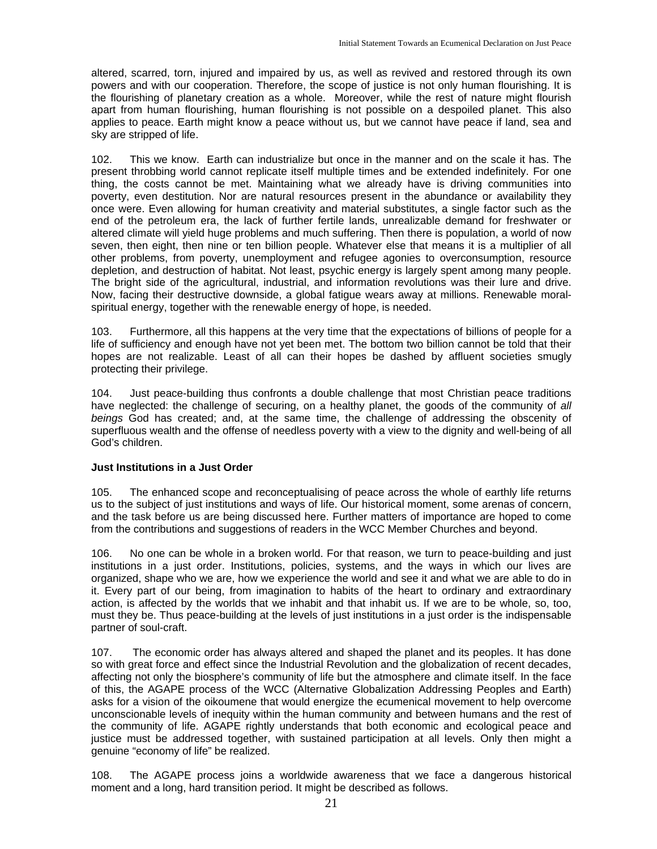altered, scarred, torn, injured and impaired by us, as well as revived and restored through its own powers and with our cooperation. Therefore, the scope of justice is not only human flourishing. It is the flourishing of planetary creation as a whole. Moreover, while the rest of nature might flourish apart from human flourishing, human flourishing is not possible on a despoiled planet. This also applies to peace. Earth might know a peace without us, but we cannot have peace if land, sea and sky are stripped of life.

102. This we know. Earth can industrialize but once in the manner and on the scale it has. The present throbbing world cannot replicate itself multiple times and be extended indefinitely. For one thing, the costs cannot be met. Maintaining what we already have is driving communities into poverty, even destitution. Nor are natural resources present in the abundance or availability they once were. Even allowing for human creativity and material substitutes, a single factor such as the end of the petroleum era, the lack of further fertile lands, unrealizable demand for freshwater or altered climate will yield huge problems and much suffering. Then there is population, a world of now seven, then eight, then nine or ten billion people. Whatever else that means it is a multiplier of all other problems, from poverty, unemployment and refugee agonies to overconsumption, resource depletion, and destruction of habitat. Not least, psychic energy is largely spent among many people. The bright side of the agricultural, industrial, and information revolutions was their lure and drive. Now, facing their destructive downside, a global fatigue wears away at millions. Renewable moralspiritual energy, together with the renewable energy of hope, is needed.

103. Furthermore, all this happens at the very time that the expectations of billions of people for a life of sufficiency and enough have not yet been met. The bottom two billion cannot be told that their hopes are not realizable. Least of all can their hopes be dashed by affluent societies smugly protecting their privilege.

104. Just peace-building thus confronts a double challenge that most Christian peace traditions have neglected: the challenge of securing, on a healthy planet, the goods of the community of *all beings* God has created; and, at the same time, the challenge of addressing the obscenity of superfluous wealth and the offense of needless poverty with a view to the dignity and well-being of all God's children.

#### **Just Institutions in a Just Order**

105. The enhanced scope and reconceptualising of peace across the whole of earthly life returns us to the subject of just institutions and ways of life. Our historical moment, some arenas of concern, and the task before us are being discussed here. Further matters of importance are hoped to come from the contributions and suggestions of readers in the WCC Member Churches and beyond.

106. No one can be whole in a broken world. For that reason, we turn to peace-building and just institutions in a just order. Institutions, policies, systems, and the ways in which our lives are organized, shape who we are, how we experience the world and see it and what we are able to do in it. Every part of our being, from imagination to habits of the heart to ordinary and extraordinary action, is affected by the worlds that we inhabit and that inhabit us. If we are to be whole, so, too, must they be. Thus peace-building at the levels of just institutions in a just order is the indispensable partner of soul-craft.

107. The economic order has always altered and shaped the planet and its peoples. It has done so with great force and effect since the Industrial Revolution and the globalization of recent decades, affecting not only the biosphere's community of life but the atmosphere and climate itself. In the face of this, the AGAPE process of the WCC (Alternative Globalization Addressing Peoples and Earth) asks for a vision of the oikoumene that would energize the ecumenical movement to help overcome unconscionable levels of inequity within the human community and between humans and the rest of the community of life. AGAPE rightly understands that both economic and ecological peace and justice must be addressed together, with sustained participation at all levels. Only then might a genuine "economy of life" be realized.

108. The AGAPE process joins a worldwide awareness that we face a dangerous historical moment and a long, hard transition period. It might be described as follows.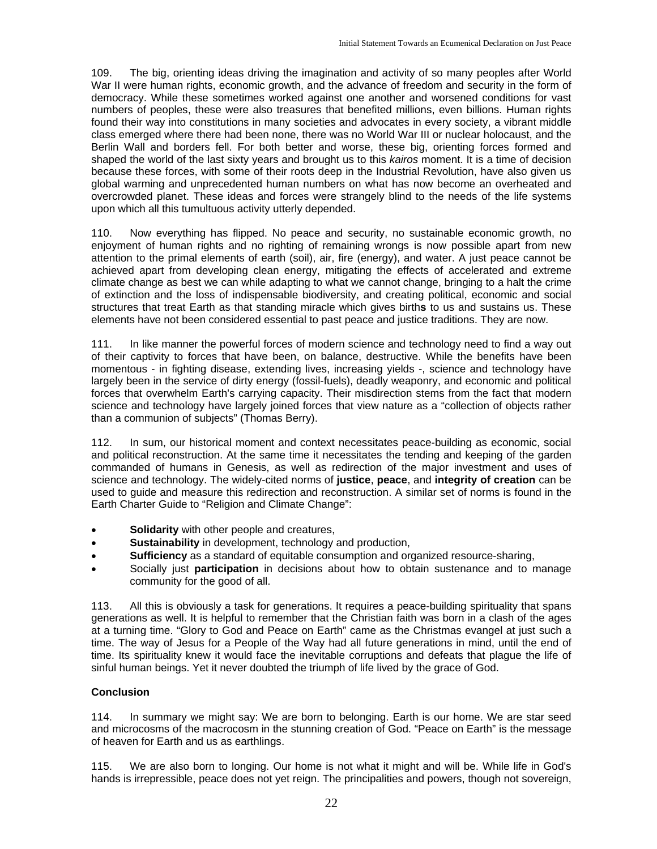109. The big, orienting ideas driving the imagination and activity of so many peoples after World War II were human rights, economic growth, and the advance of freedom and security in the form of democracy. While these sometimes worked against one another and worsened conditions for vast numbers of peoples, these were also treasures that benefited millions, even billions. Human rights found their way into constitutions in many societies and advocates in every society, a vibrant middle class emerged where there had been none, there was no World War III or nuclear holocaust, and the Berlin Wall and borders fell. For both better and worse, these big, orienting forces formed and shaped the world of the last sixty years and brought us to this *kairos* moment. It is a time of decision because these forces, with some of their roots deep in the Industrial Revolution, have also given us global warming and unprecedented human numbers on what has now become an overheated and overcrowded planet. These ideas and forces were strangely blind to the needs of the life systems upon which all this tumultuous activity utterly depended.

110. Now everything has flipped. No peace and security, no sustainable economic growth, no enjoyment of human rights and no righting of remaining wrongs is now possible apart from new attention to the primal elements of earth (soil), air, fire (energy), and water. A just peace cannot be achieved apart from developing clean energy, mitigating the effects of accelerated and extreme climate change as best we can while adapting to what we cannot change, bringing to a halt the crime of extinction and the loss of indispensable biodiversity, and creating political, economic and social structures that treat Earth as that standing miracle which gives birth**s** to us and sustains us. These elements have not been considered essential to past peace and justice traditions. They are now.

111. In like manner the powerful forces of modern science and technology need to find a way out of their captivity to forces that have been, on balance, destructive. While the benefits have been momentous - in fighting disease, extending lives, increasing yields -, science and technology have largely been in the service of dirty energy (fossil-fuels), deadly weaponry, and economic and political forces that overwhelm Earth's carrying capacity. Their misdirection stems from the fact that modern science and technology have largely joined forces that view nature as a "collection of objects rather than a communion of subjects" (Thomas Berry).

112. In sum, our historical moment and context necessitates peace-building as economic, social and political reconstruction. At the same time it necessitates the tending and keeping of the garden commanded of humans in Genesis, as well as redirection of the major investment and uses of science and technology. The widely-cited norms of **justice**, **peace**, and **integrity of creation** can be used to guide and measure this redirection and reconstruction. A similar set of norms is found in the Earth Charter Guide to "Religion and Climate Change":

- **Solidarity** with other people and creatures,
- **Sustainability** in development, technology and production,
- **Sufficiency** as a standard of equitable consumption and organized resource-sharing,
- Socially just **participation** in decisions about how to obtain sustenance and to manage community for the good of all.

113. All this is obviously a task for generations. It requires a peace-building spirituality that spans generations as well. It is helpful to remember that the Christian faith was born in a clash of the ages at a turning time. "Glory to God and Peace on Earth" came as the Christmas evangel at just such a time. The way of Jesus for a People of the Way had all future generations in mind, until the end of time. Its spirituality knew it would face the inevitable corruptions and defeats that plague the life of sinful human beings. Yet it never doubted the triumph of life lived by the grace of God.

#### **Conclusion**

114. In summary we might say: We are born to belonging. Earth is our home. We are star seed and microcosms of the macrocosm in the stunning creation of God. "Peace on Earth" is the message of heaven for Earth and us as earthlings.

115. We are also born to longing. Our home is not what it might and will be. While life in God's hands is irrepressible, peace does not yet reign. The principalities and powers, though not sovereign,